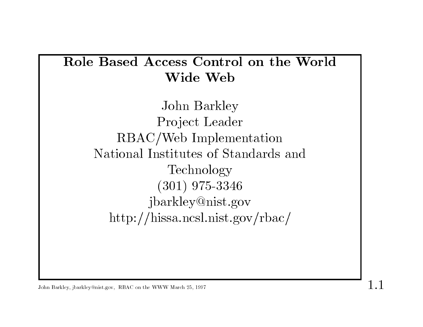# Role Based Access Control on the World ess Contro<br>Wide Web

John Barkley Project Leader RBAC/Web Implementation National Institutes of Standards and Technology (301) 975-3346 jbarkley@nist.gov http://hissa.ncsl.nist.gov/rbac/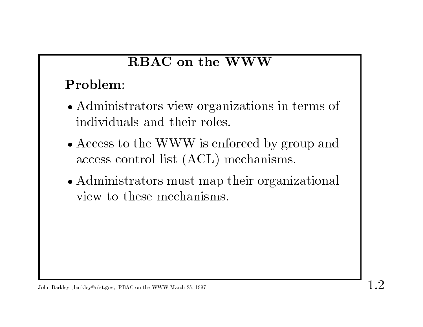# RBAC on the WWW

## Problem:

- Problem:<br>• Administrators view organizations in terms of Administrators view organ<br>individuals and their roles. • Administrators view organizations in terms of<br>individuals and their roles.<br>• Access to the WWW is enforced by group and
- Access to the WWW is enforced by group and access control list (ACL) mechanisms.
- access control list (ACL) mechanisms.<br>• Administrators must map their organizational access control ist (AOD) if<br>Administrators must map<br>view to these mechanisms.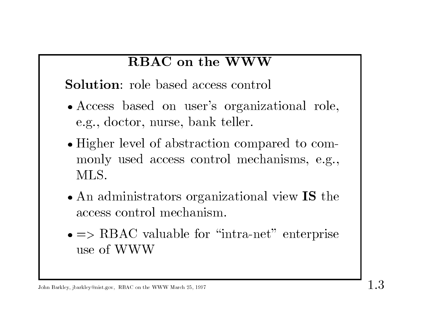## RBAC on the WWW

Solution: role based access control

- Solution: role based access control<br>• Access based on user's organizational role, Access based on user's organ<br>e.g., doctor, nurse, bank teller.
- e.g., doctor, nurse, bank teller.<br>• Higher level of abstraction compared to commonly used access control mechanisms, e.g., MLS.
- An administrators organizational view IS the access control mechanism.
- An administrators organizational view 15 the<br>access control mechanism.<br>• => RBAC valuable for "intra-net" enterprise<br>use of WWW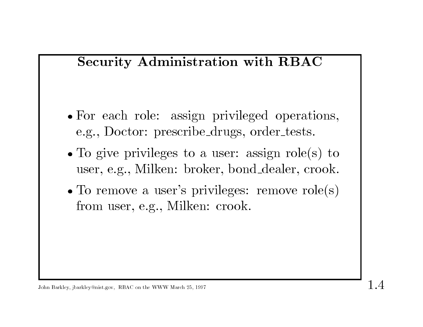## Security Administration with RBAC

- For each role: assign privileged operations, e.g., Doctor: prescribe\_drugs, order\_tests.
- e.g., Doctor: prescribe\_drugs, order\_tests.<br>• To give privileges to a user: assign role(s) to To give privileges to a user: assign role(s) to user, e.g., Milken: broker, bond\_dealer, crook.
- user, e.g., Milken: broker, bond\_dealer, crook.<br>• To remove a user's privileges: remove role(s) from user, e.g., Milken: crook.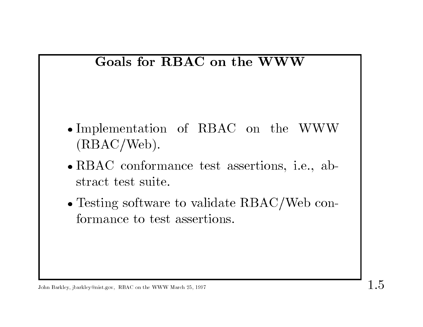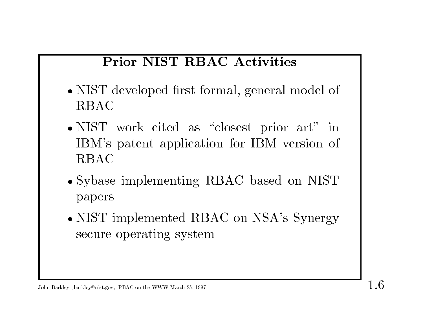# Prior NIST RBAC Activities

- Prior NIST RBAC Activities<br>• NIST developed first formal, general model of NIST<br>RBAC RBAC<br>• NIST work cited as "closest prior art" in
- RBAC<br>NIST work cited as "closest prior art" in<br>IBM's patent application for IBM version of IBM's patent application for IBM version of RBAC
- � Sybase implementing RBAC based on NIST papers � NIST implemented RBAC on NSA's Synergy
- papers<br>NIST implemented RB*I*<br>secure operating system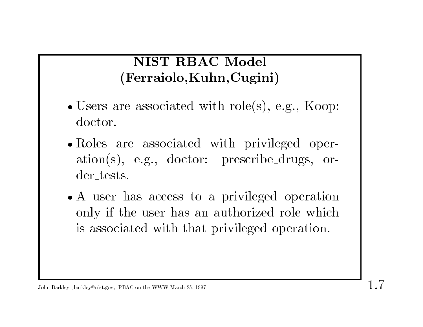# NIST RBAC Model (Ferraiolo,Kuhn,Cugini)

- � Users are associated with role(s), e.g., Koop: doctor.
- � Roles are associated with privileged operation(s), e.g., doctor: prescribe drugs, order tests.
- A user has access to a privileged operation A user has access to a privileged operation<br>only if the user has an authorized role which only if the user has an authorized role which is associated with that privileged operation.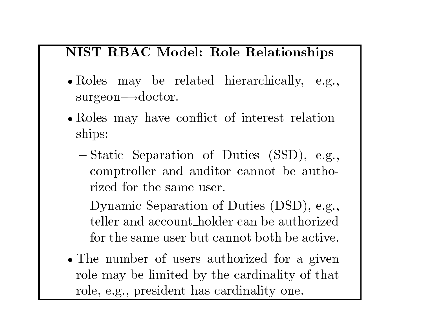#### NIST RBAC Model: Role Relationships

- Roles may be related hierarchically, e.g.,  $surgeon \rightarrow doctor.$
- Roles may have conflict of interest relationships:
	- ${\rm ships:}\ -{\rm Static}\ \ {\rm Separation}\ \ {\rm of}\ \ {\rm Duties}\ \ ({\rm SSD}),\ \ {\rm e.g.},$ Static Separation of Duties (SSD), e.g., comptroller and auditor cannot be authocomptroller and auditor cannot be authorized for the same user. %rized for the same user.<br> - Dynamic Separation of Duties (DSD), e.g.,
	- Dynamic Separation of Duties (DSD), e.g., teller and account holder can be authorized teller and account\_holder can be authorized<br>for the same user but cannot both be active.
- The number of users authorized for a given role may be limited by the cardinality of that role, e.g., president has cardinality one.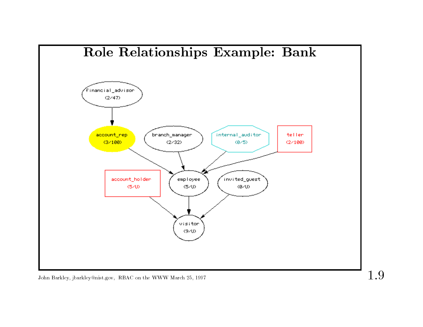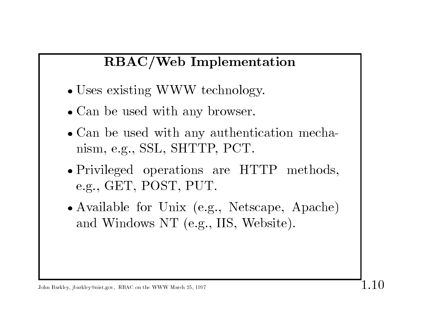# RBAC/Web Implementation

- RBAC/Web Implements<br>• Uses existing WWW technology.
- � Can be used with any browser.
- Can be used with any browser.<br>• Can be used with any authentication mechanism, e.g., SSL, SHTTP, PCT.
- � Privileged operations are HTTP methods, e.g., GET, POST, PUT.
- e.g., GET, POST, PUT.<br>• Available for Unix (e.g., Netscape, Apache) and Windows NT (e.g., IIS, Website).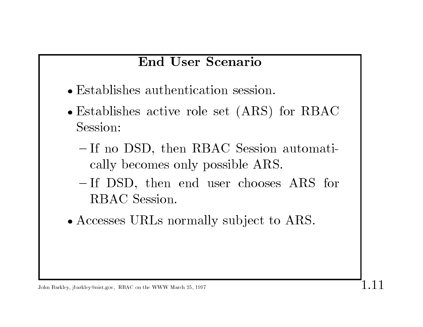## End User Scenario

- Establishes authentication session.
- � Establishes active role set (ARS) for RBAC Session:
	- If no DSD, then RBAC Session automatically becomes only possible ARS. cally becomes only possible ARS.<br>  $-$  If DSD, then end user chooses ARS for
	- cany becomes of<br>If DSD, then<br>RBAC Session.
- RBAC Session.<br>• Accesses URLs normally subject to ARS.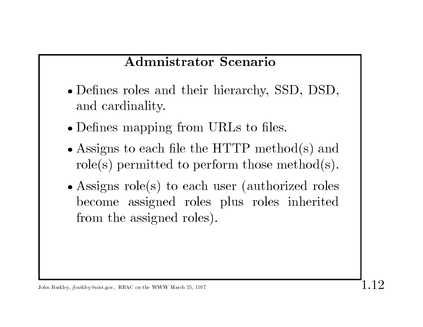## Admnistrator Scenario

- � Defnes roles and their hierarchy, SSD, DSD, Defines roles an<br>and cardinality.
- and cardinality.<br>• Defines mapping from URLs to files.
- Assigns to each file the HTTP method(s) and role(s) permitted to perform those method(s).
- Assigns role(s) to each user (authorized roles Assigns role(s) to each user (authorized roles<br>become assigned roles plus roles inherited<br>from the assigned roles).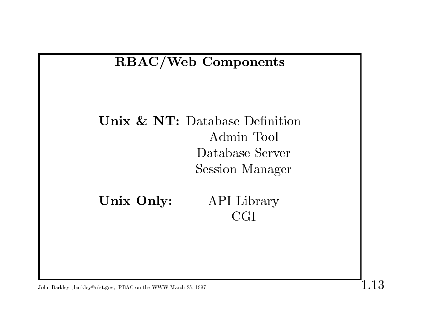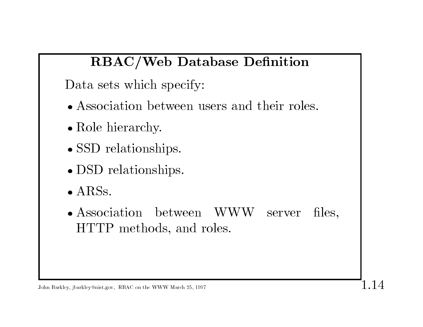# RBAC/Web Database Defnition

Data sets which specify:

- � Association between users and their roles.
- Role hierarchy.
- SSD relationships.
- DSD relationships.
- $\bullet$  ARSs.
- DSD relationships.<br>• ARSs.<br>• Association between WWW server files, • Association between WWW<br>HTTP methods, and roles.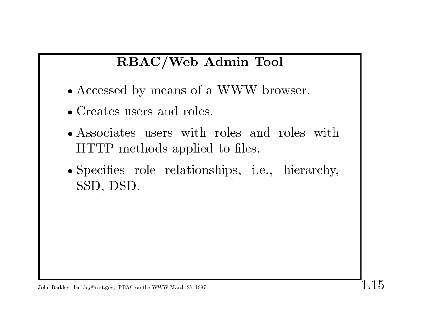# RBAC/Web Admin Tool

- RBAC/Web Admin Tool<br>• Accessed by means of a WWW browser. • Accessed by means of a<br>• Creates users and roles.
- 
- Creates users and roles.<br>• Associates users with roles and roles with HTTP methods applied to fles.
- � Specifes role relationships, i.e., hierarchy, SSD, DSD.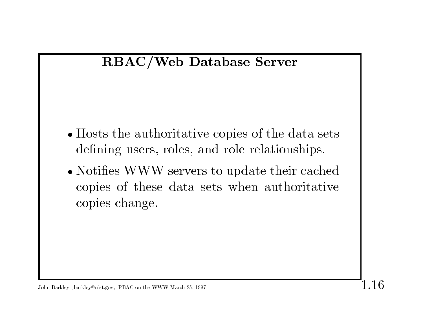

- � Hosts the authoritative copies of the data sets Hosts the authoritative copies of the data set defining users, roles, and role relationships. • Hosts the authoritative copies of the data sets<br>defining users, roles, and role relationships.<br>• Notifies WWW servers to update their cached
- Notifies WWW servers to update their cached<br>copies of these data sets when authoritative copies of these data sets when authoritative copies change.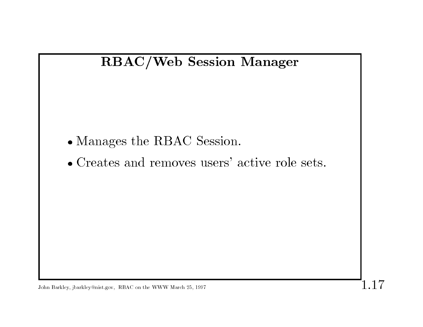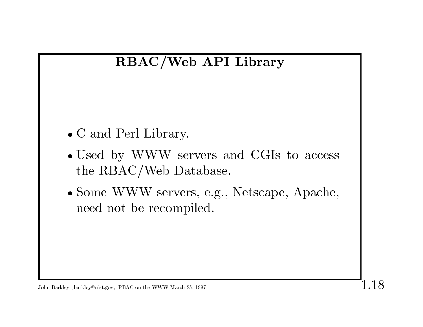